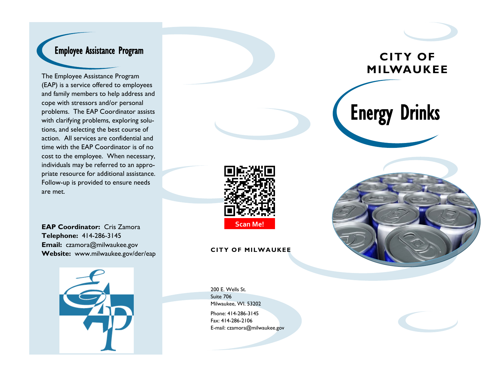## Employee Assistance Program

The Employee Assistance Program (EAP) is a service offered to employees and family members to help address and cope with stressors and/or personal problems. The EAP Coordinator assists with clarifying problems, exploring solutions, and selecting the best course of action. All services are confidential and time with the EAP Coordinator is of no cost to the employee. When necessary, individuals may be referred to an appropriate resource for additional assistance. Follow-up is provided to ensure needs are met.



**EAP Coordinator:** Cris Zamora **Telephone:** 414-286-3145 **Email:** czamora@milwaukee.gov **Website:** www.milwaukee.gov/der/eap





200 E. Wells St. Suite 706 Milwaukee, WI. 53202 Phone: 414-286-3145 Fax: 414-286-2106 E-mail: czamora@milwaukee.gov